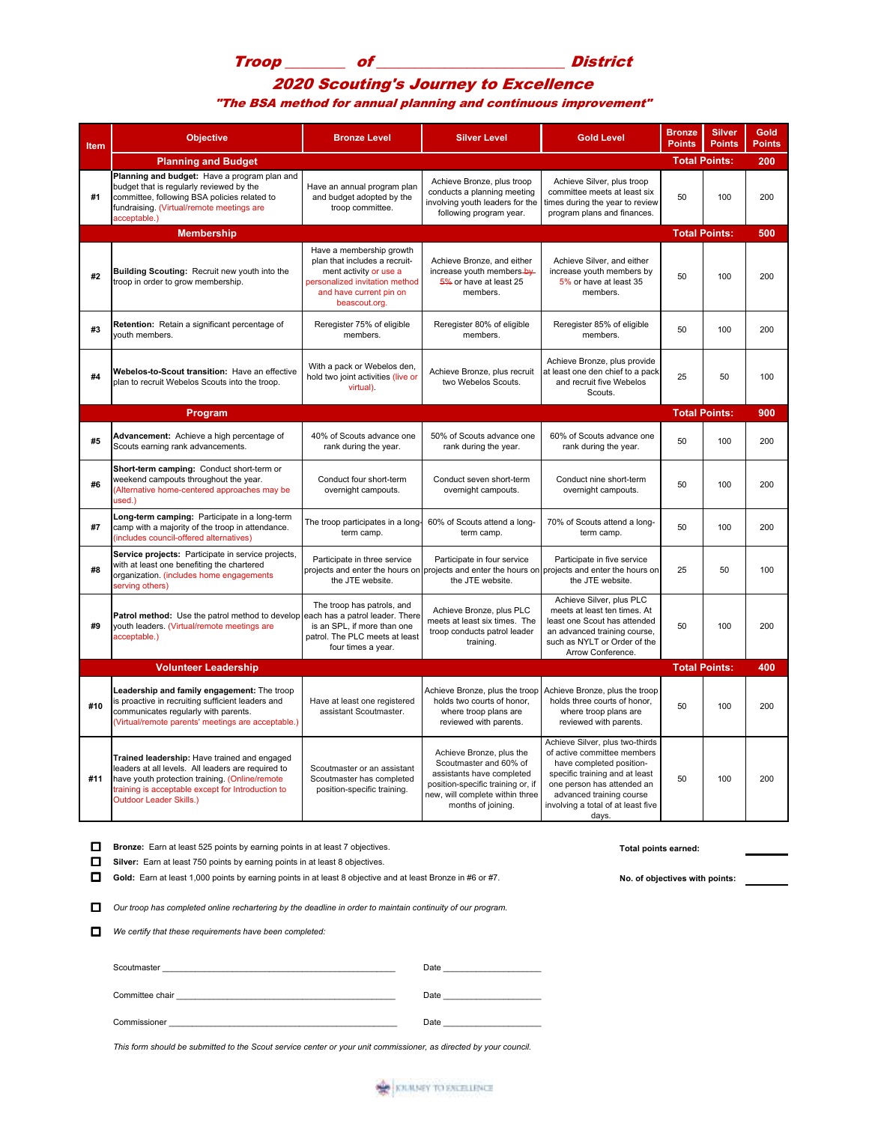## Troop \_\_\_\_\_\_\_\_ of \_\_\_\_\_\_\_\_\_\_\_\_\_\_\_\_\_\_\_\_\_\_\_\_\_ District

## 2020 Scouting's Journey to Excellence

"The BSA method for annual planning and continuous improvement"

| Item | <b>Objective</b>                                                                                                                                                                                                                            | <b>Bronze Level</b>                                                                                                                                               | <b>Silver Level</b>                                                                                                                                                           | <b>Gold Level</b>                                                                                                                                                                                                                     | <b>Bronze</b><br><b>Points</b> | <b>Silver</b><br><b>Points</b> | <b>Gold</b><br><b>Points</b> |
|------|---------------------------------------------------------------------------------------------------------------------------------------------------------------------------------------------------------------------------------------------|-------------------------------------------------------------------------------------------------------------------------------------------------------------------|-------------------------------------------------------------------------------------------------------------------------------------------------------------------------------|---------------------------------------------------------------------------------------------------------------------------------------------------------------------------------------------------------------------------------------|--------------------------------|--------------------------------|------------------------------|
|      | <b>Planning and Budget</b>                                                                                                                                                                                                                  | <b>Total Points:</b>                                                                                                                                              |                                                                                                                                                                               | 200                                                                                                                                                                                                                                   |                                |                                |                              |
| #1   | Planning and budget: Have a program plan and<br>budget that is regularly reviewed by the<br>committee, following BSA policies related to<br>fundraising. (Virtual/remote meetings are<br>acceptable.)                                       | Have an annual program plan<br>and budget adopted by the<br>troop committee.                                                                                      | Achieve Bronze, plus troop<br>conducts a planning meeting<br>involving youth leaders for the<br>following program year.                                                       | Achieve Silver, plus troop<br>committee meets at least six<br>times during the year to review<br>program plans and finances.                                                                                                          | 50                             | 100                            | 200                          |
|      | <b>Membership</b>                                                                                                                                                                                                                           |                                                                                                                                                                   |                                                                                                                                                                               |                                                                                                                                                                                                                                       | <b>Total Points:</b>           |                                | 500                          |
| #2   | Building Scouting: Recruit new youth into the<br>troop in order to grow membership.                                                                                                                                                         | Have a membership growth<br>plan that includes a recruit-<br>ment activity or use a<br>personalized invitation method<br>and have current pin on<br>beascout.org. | Achieve Bronze, and either<br>increase youth members-by-<br>5% or have at least 25<br>members.                                                                                | Achieve Silver, and either<br>increase youth members by<br>5% or have at least 35<br>members.                                                                                                                                         | 50                             | 100                            | 200                          |
| #3   | Retention: Retain a significant percentage of<br>youth members.                                                                                                                                                                             | Reregister 75% of eligible<br>members.                                                                                                                            | Reregister 80% of eligible<br>members.                                                                                                                                        | Reregister 85% of eligible<br>members.                                                                                                                                                                                                | 50                             | 100                            | 200                          |
| #4   | Webelos-to-Scout transition: Have an effective<br>plan to recruit Webelos Scouts into the troop.                                                                                                                                            | With a pack or Webelos den,<br>hold two joint activities (live or<br>virtual).                                                                                    | Achieve Bronze, plus recruit<br>two Webelos Scouts.                                                                                                                           | Achieve Bronze, plus provide<br>at least one den chief to a pack<br>and recruit five Webelos<br>Scouts.                                                                                                                               | 25                             | 50                             | 100                          |
|      | Program                                                                                                                                                                                                                                     |                                                                                                                                                                   |                                                                                                                                                                               |                                                                                                                                                                                                                                       | <b>Total Points:</b>           |                                | 900                          |
| #5   | Advancement: Achieve a high percentage of<br>Scouts earning rank advancements.                                                                                                                                                              | 40% of Scouts advance one<br>rank during the year.                                                                                                                | 50% of Scouts advance one<br>rank during the year.                                                                                                                            | 60% of Scouts advance one<br>rank during the year.                                                                                                                                                                                    | 50                             | 100                            | 200                          |
| #6   | Short-term camping: Conduct short-term or<br>weekend campouts throughout the year.<br>(Alternative home-centered approaches may be<br>used.)                                                                                                | Conduct four short-term<br>overnight campouts.                                                                                                                    | Conduct seven short-term<br>overnight campouts.                                                                                                                               | Conduct nine short-term<br>overnight campouts.                                                                                                                                                                                        | 50                             | 100                            | 200                          |
| #7   | Long-term camping: Participate in a long-term<br>camp with a majority of the troop in attendance.<br>(includes council-offered alternatives)                                                                                                | The troop participates in a long-<br>term camp.                                                                                                                   | 60% of Scouts attend a long-<br>term camp.                                                                                                                                    | 70% of Scouts attend a long-<br>term camp.                                                                                                                                                                                            | 50                             | 100                            | 200                          |
| #8   | Service projects: Participate in service projects,<br>with at least one benefiting the chartered<br>organization. (includes home engagements<br>serving others)                                                                             | Participate in three service<br>the JTE website.                                                                                                                  | Participate in four service<br>projects and enter the hours on projects and enter the hours on projects and enter the hours on<br>the JTE website.                            | Participate in five service<br>the JTE website.                                                                                                                                                                                       | 25                             | 50                             | 100                          |
| #9   | Patrol method: Use the patrol method to develop<br>youth leaders. (Virtual/remote meetings are<br>acceptable.)                                                                                                                              | The troop has patrols, and<br>each has a patrol leader. There<br>is an SPL, if more than one<br>patrol. The PLC meets at least<br>four times a year.              | Achieve Bronze, plus PLC<br>meets at least six times. The<br>troop conducts patrol leader<br>training.                                                                        | Achieve Silver, plus PLC<br>meets at least ten times. At<br>least one Scout has attended<br>an advanced training course,<br>such as NYLT or Order of the<br>Arrow Conference.                                                         | 50                             | 100                            | 200                          |
|      | <b>Volunteer Leadership</b>                                                                                                                                                                                                                 |                                                                                                                                                                   |                                                                                                                                                                               |                                                                                                                                                                                                                                       | <b>Total Points:</b>           |                                | 400                          |
| #10  | Leadership and family engagement: The troop<br>is proactive in recruiting sufficient leaders and<br>communicates regularly with parents.<br>(Virtual/remote parents' meetings are acceptable.)                                              | Have at least one registered<br>assistant Scoutmaster.                                                                                                            | Achieve Bronze, plus the troop<br>holds two courts of honor,<br>where troop plans are<br>reviewed with parents.                                                               | Achieve Bronze, plus the troop<br>holds three courts of honor,<br>where troop plans are<br>reviewed with parents.                                                                                                                     | 50                             | 100                            | 200                          |
| #11  | Trained leadership: Have trained and engaged<br>leaders at all levels. All leaders are required to<br>have youth protection training. (Online/remote<br>training is acceptable except for Introduction to<br><b>Outdoor Leader Skills.)</b> | Scoutmaster or an assistant<br>Scoutmaster has completed<br>position-specific training.                                                                           | Achieve Bronze, plus the<br>Scoutmaster and 60% of<br>assistants have completed<br>position-specific training or, if<br>new, will complete within three<br>months of joining. | Achieve Silver, plus two-thirds<br>of active committee members<br>have completed position-<br>specific training and at least<br>one person has attended an<br>advanced training course<br>involving a total of at least five<br>days. | 50                             | 100                            | 200                          |

**D** Bronze: Earn at least 525 points by earning points in at least 7 objectives. **To the example of the State of Total points earned: Total points earned: Silver:** Earn at least 750 points by earning points in at least 8 objectives.

Gold: Earn at least 1,000 points by earning points in at least 8 objective and at least Bronze in #6 or #7. No. of objectives with points:

Our troop has completed online rechartering by the deadline in order to maintain continuity of our program.

*We certify that these requirements have been completed:* 

| Scoutmaster     | Date |
|-----------------|------|
| Committee chair | Date |
| Commissioner    | Date |

*This form should be submitted to the Scout service center or your unit commissioner, as directed by your council.*